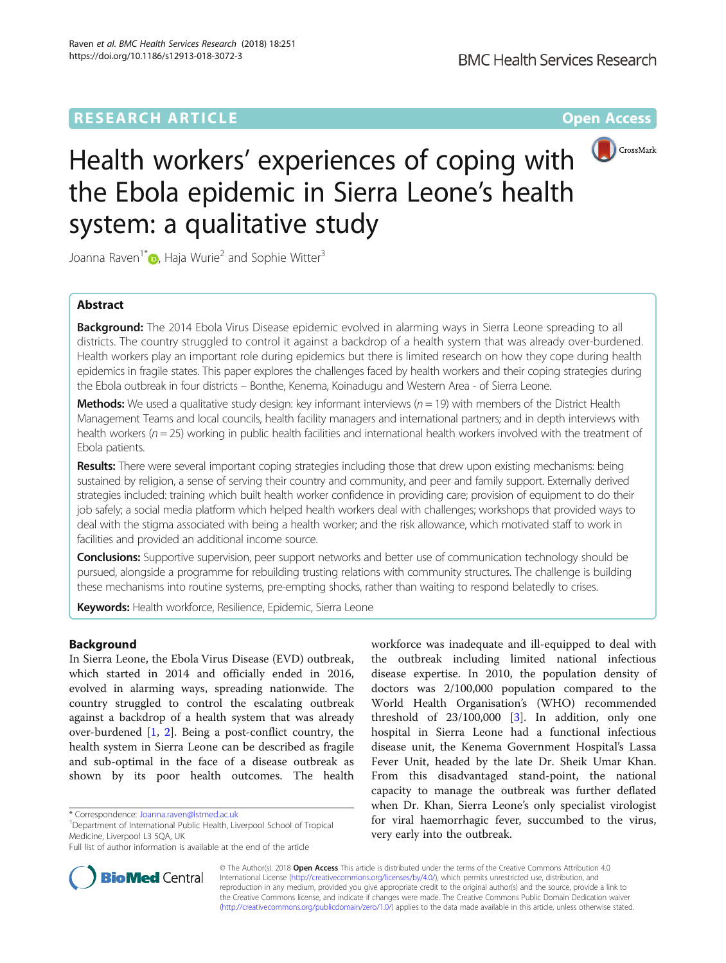# **RESEARCH ARTICLE Example 2018 12:00 Department of the Contract Open Access**



# Health workers' experiences of coping with the Ebola epidemic in Sierra Leone's health system: a qualitative study

Joanna Raven<sup>1</sup><sup>[\\*](http://orcid.org/0000-0002-4112-6959)</sup> $\bullet$ , Haja Wurie<sup>2</sup> and Sophie Witter<sup>3</sup>

# Abstract

**Background:** The 2014 Ebola Virus Disease epidemic evolved in alarming ways in Sierra Leone spreading to all districts. The country struggled to control it against a backdrop of a health system that was already over-burdened. Health workers play an important role during epidemics but there is limited research on how they cope during health epidemics in fragile states. This paper explores the challenges faced by health workers and their coping strategies during the Ebola outbreak in four districts – Bonthe, Kenema, Koinadugu and Western Area - of Sierra Leone.

Methods: We used a qualitative study design: key informant interviews ( $n = 19$ ) with members of the District Health Management Teams and local councils, health facility managers and international partners; and in depth interviews with health workers ( $n = 25$ ) working in public health facilities and international health workers involved with the treatment of Ebola patients.

Results: There were several important coping strategies including those that drew upon existing mechanisms: being sustained by religion, a sense of serving their country and community, and peer and family support. Externally derived strategies included: training which built health worker confidence in providing care; provision of equipment to do their job safely; a social media platform which helped health workers deal with challenges; workshops that provided ways to deal with the stigma associated with being a health worker; and the risk allowance, which motivated staff to work in facilities and provided an additional income source.

Conclusions: Supportive supervision, peer support networks and better use of communication technology should be pursued, alongside a programme for rebuilding trusting relations with community structures. The challenge is building these mechanisms into routine systems, pre-empting shocks, rather than waiting to respond belatedly to crises.

Keywords: Health workforce, Resilience, Epidemic, Sierra Leone

# Background

In Sierra Leone, the Ebola Virus Disease (EVD) outbreak, which started in 2014 and officially ended in 2016, evolved in alarming ways, spreading nationwide. The country struggled to control the escalating outbreak against a backdrop of a health system that was already over-burdened [[1,](#page-8-0) [2\]](#page-8-0). Being a post-conflict country, the health system in Sierra Leone can be described as fragile and sub-optimal in the face of a disease outbreak as shown by its poor health outcomes. The health

<sup>1</sup>Department of International Public Health, Liverpool School of Tropical Medicine, Liverpool L3 5QA, UK

Full list of author information is available at the end of the article



**BioMed Central** 

© The Author(s). 2018 Open Access This article is distributed under the terms of the Creative Commons Attribution 4.0 International License [\(http://creativecommons.org/licenses/by/4.0/](http://creativecommons.org/licenses/by/4.0/)), which permits unrestricted use, distribution, and reproduction in any medium, provided you give appropriate credit to the original author(s) and the source, provide a link to the Creative Commons license, and indicate if changes were made. The Creative Commons Public Domain Dedication waiver [\(http://creativecommons.org/publicdomain/zero/1.0/](http://creativecommons.org/publicdomain/zero/1.0/)) applies to the data made available in this article, unless otherwise stated.

<sup>\*</sup> Correspondence: [Joanna.raven@lstmed.ac.uk](mailto:Joanna.raven@lstmed.ac.uk) <sup>1</sup>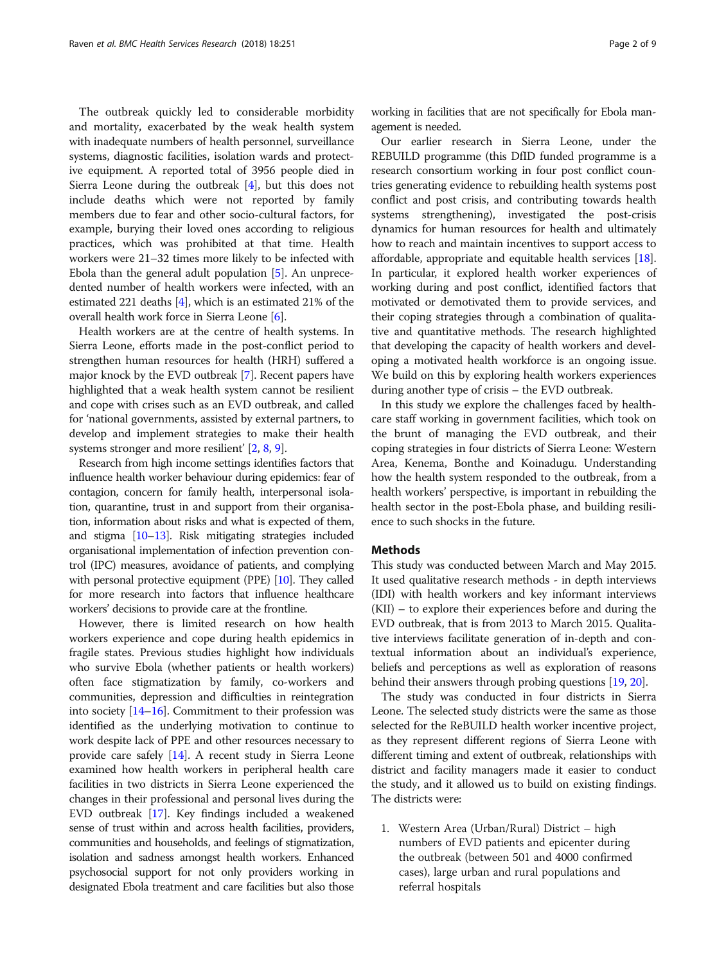The outbreak quickly led to considerable morbidity and mortality, exacerbated by the weak health system with inadequate numbers of health personnel, surveillance systems, diagnostic facilities, isolation wards and protective equipment. A reported total of 3956 people died in Sierra Leone during the outbreak [[4](#page-8-0)], but this does not include deaths which were not reported by family members due to fear and other socio-cultural factors, for example, burying their loved ones according to religious practices, which was prohibited at that time. Health workers were 21–32 times more likely to be infected with Ebola than the general adult population [[5](#page-8-0)]. An unprecedented number of health workers were infected, with an estimated 221 deaths [[4](#page-8-0)], which is an estimated 21% of the overall health work force in Sierra Leone [\[6\]](#page-8-0).

Health workers are at the centre of health systems. In Sierra Leone, efforts made in the post-conflict period to strengthen human resources for health (HRH) suffered a major knock by the EVD outbreak [\[7](#page-8-0)]. Recent papers have highlighted that a weak health system cannot be resilient and cope with crises such as an EVD outbreak, and called for 'national governments, assisted by external partners, to develop and implement strategies to make their health systems stronger and more resilient' [\[2](#page-8-0), [8,](#page-8-0) [9](#page-8-0)].

Research from high income settings identifies factors that influence health worker behaviour during epidemics: fear of contagion, concern for family health, interpersonal isolation, quarantine, trust in and support from their organisation, information about risks and what is expected of them, and stigma [[10](#page-8-0)–[13](#page-8-0)]. Risk mitigating strategies included organisational implementation of infection prevention control (IPC) measures, avoidance of patients, and complying with personal protective equipment (PPE) [[10](#page-8-0)]. They called for more research into factors that influence healthcare workers' decisions to provide care at the frontline.

However, there is limited research on how health workers experience and cope during health epidemics in fragile states. Previous studies highlight how individuals who survive Ebola (whether patients or health workers) often face stigmatization by family, co-workers and communities, depression and difficulties in reintegration into society [[14](#page-8-0)–[16\]](#page-8-0). Commitment to their profession was identified as the underlying motivation to continue to work despite lack of PPE and other resources necessary to provide care safely [\[14\]](#page-8-0). A recent study in Sierra Leone examined how health workers in peripheral health care facilities in two districts in Sierra Leone experienced the changes in their professional and personal lives during the EVD outbreak [[17](#page-8-0)]. Key findings included a weakened sense of trust within and across health facilities, providers, communities and households, and feelings of stigmatization, isolation and sadness amongst health workers. Enhanced psychosocial support for not only providers working in designated Ebola treatment and care facilities but also those

working in facilities that are not specifically for Ebola management is needed.

Our earlier research in Sierra Leone, under the REBUILD programme (this DfID funded programme is a research consortium working in four post conflict countries generating evidence to rebuilding health systems post conflict and post crisis, and contributing towards health systems strengthening), investigated the post-crisis dynamics for human resources for health and ultimately how to reach and maintain incentives to support access to affordable, appropriate and equitable health services [[18](#page-8-0)]. In particular, it explored health worker experiences of working during and post conflict, identified factors that motivated or demotivated them to provide services, and their coping strategies through a combination of qualitative and quantitative methods. The research highlighted that developing the capacity of health workers and developing a motivated health workforce is an ongoing issue. We build on this by exploring health workers experiences during another type of crisis – the EVD outbreak.

In this study we explore the challenges faced by healthcare staff working in government facilities, which took on the brunt of managing the EVD outbreak, and their coping strategies in four districts of Sierra Leone: Western Area, Kenema, Bonthe and Koinadugu. Understanding how the health system responded to the outbreak, from a health workers' perspective, is important in rebuilding the health sector in the post-Ebola phase, and building resilience to such shocks in the future.

# **Methods**

This study was conducted between March and May 2015. It used qualitative research methods - in depth interviews (IDI) with health workers and key informant interviews (KII) – to explore their experiences before and during the EVD outbreak, that is from 2013 to March 2015. Qualitative interviews facilitate generation of in-depth and contextual information about an individual's experience, beliefs and perceptions as well as exploration of reasons behind their answers through probing questions [[19](#page-8-0), [20\]](#page-8-0).

The study was conducted in four districts in Sierra Leone. The selected study districts were the same as those selected for the ReBUILD health worker incentive project, as they represent different regions of Sierra Leone with different timing and extent of outbreak, relationships with district and facility managers made it easier to conduct the study, and it allowed us to build on existing findings. The districts were:

1. Western Area (Urban/Rural) District – high numbers of EVD patients and epicenter during the outbreak (between 501 and 4000 confirmed cases), large urban and rural populations and referral hospitals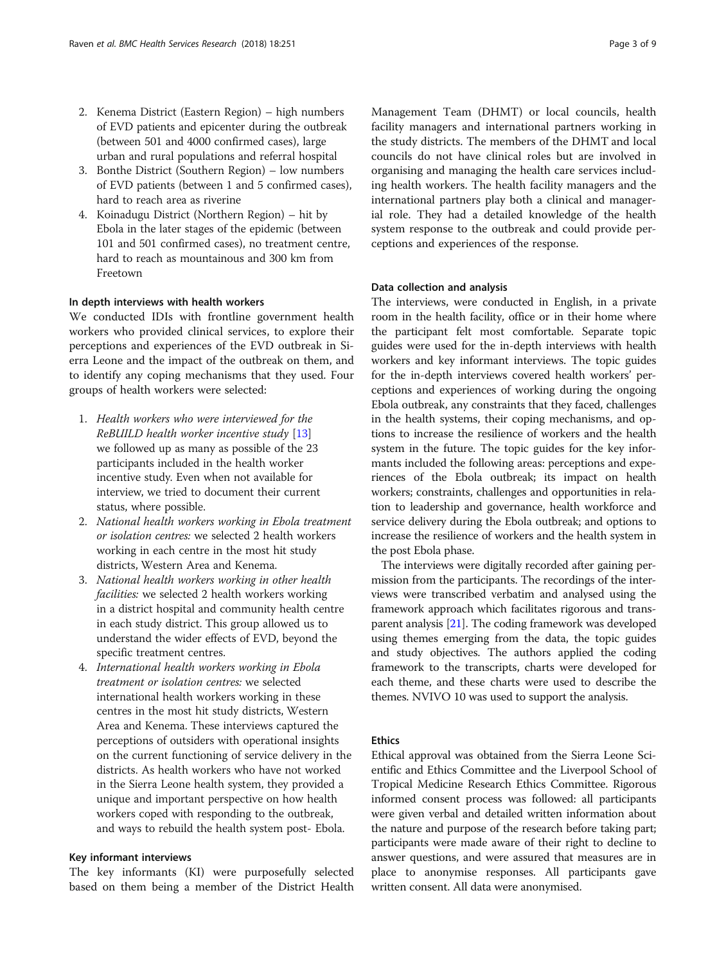- 2. Kenema District (Eastern Region) high numbers of EVD patients and epicenter during the outbreak (between 501 and 4000 confirmed cases), large urban and rural populations and referral hospital
- 3. Bonthe District (Southern Region) low numbers of EVD patients (between 1 and 5 confirmed cases), hard to reach area as riverine
- 4. Koinadugu District (Northern Region) hit by Ebola in the later stages of the epidemic (between 101 and 501 confirmed cases), no treatment centre, hard to reach as mountainous and 300 km from Freetown

# In depth interviews with health workers

We conducted IDIs with frontline government health workers who provided clinical services, to explore their perceptions and experiences of the EVD outbreak in Sierra Leone and the impact of the outbreak on them, and to identify any coping mechanisms that they used. Four groups of health workers were selected:

- 1. Health workers who were interviewed for the ReBUILD health worker incentive study  $[13]$ we followed up as many as possible of the 23 participants included in the health worker incentive study. Even when not available for interview, we tried to document their current status, where possible.
- 2. National health workers working in Ebola treatment or isolation centres: we selected 2 health workers working in each centre in the most hit study districts, Western Area and Kenema.
- 3. National health workers working in other health facilities: we selected 2 health workers working in a district hospital and community health centre in each study district. This group allowed us to understand the wider effects of EVD, beyond the specific treatment centres.
- 4. International health workers working in Ebola treatment or isolation centres: we selected international health workers working in these centres in the most hit study districts, Western Area and Kenema. These interviews captured the perceptions of outsiders with operational insights on the current functioning of service delivery in the districts. As health workers who have not worked in the Sierra Leone health system, they provided a unique and important perspective on how health workers coped with responding to the outbreak, and ways to rebuild the health system post- Ebola.

# Key informant interviews

The key informants (KI) were purposefully selected based on them being a member of the District Health Management Team (DHMT) or local councils, health facility managers and international partners working in the study districts. The members of the DHMT and local councils do not have clinical roles but are involved in organising and managing the health care services including health workers. The health facility managers and the international partners play both a clinical and managerial role. They had a detailed knowledge of the health system response to the outbreak and could provide perceptions and experiences of the response.

#### Data collection and analysis

The interviews, were conducted in English, in a private room in the health facility, office or in their home where the participant felt most comfortable. Separate topic guides were used for the in-depth interviews with health workers and key informant interviews. The topic guides for the in-depth interviews covered health workers' perceptions and experiences of working during the ongoing Ebola outbreak, any constraints that they faced, challenges in the health systems, their coping mechanisms, and options to increase the resilience of workers and the health system in the future. The topic guides for the key informants included the following areas: perceptions and experiences of the Ebola outbreak; its impact on health workers; constraints, challenges and opportunities in relation to leadership and governance, health workforce and service delivery during the Ebola outbreak; and options to increase the resilience of workers and the health system in the post Ebola phase.

The interviews were digitally recorded after gaining permission from the participants. The recordings of the interviews were transcribed verbatim and analysed using the framework approach which facilitates rigorous and transparent analysis [\[21\]](#page-8-0). The coding framework was developed using themes emerging from the data, the topic guides and study objectives. The authors applied the coding framework to the transcripts, charts were developed for each theme, and these charts were used to describe the themes. NVIVO 10 was used to support the analysis.

#### Ethics

Ethical approval was obtained from the Sierra Leone Scientific and Ethics Committee and the Liverpool School of Tropical Medicine Research Ethics Committee. Rigorous informed consent process was followed: all participants were given verbal and detailed written information about the nature and purpose of the research before taking part; participants were made aware of their right to decline to answer questions, and were assured that measures are in place to anonymise responses. All participants gave written consent. All data were anonymised.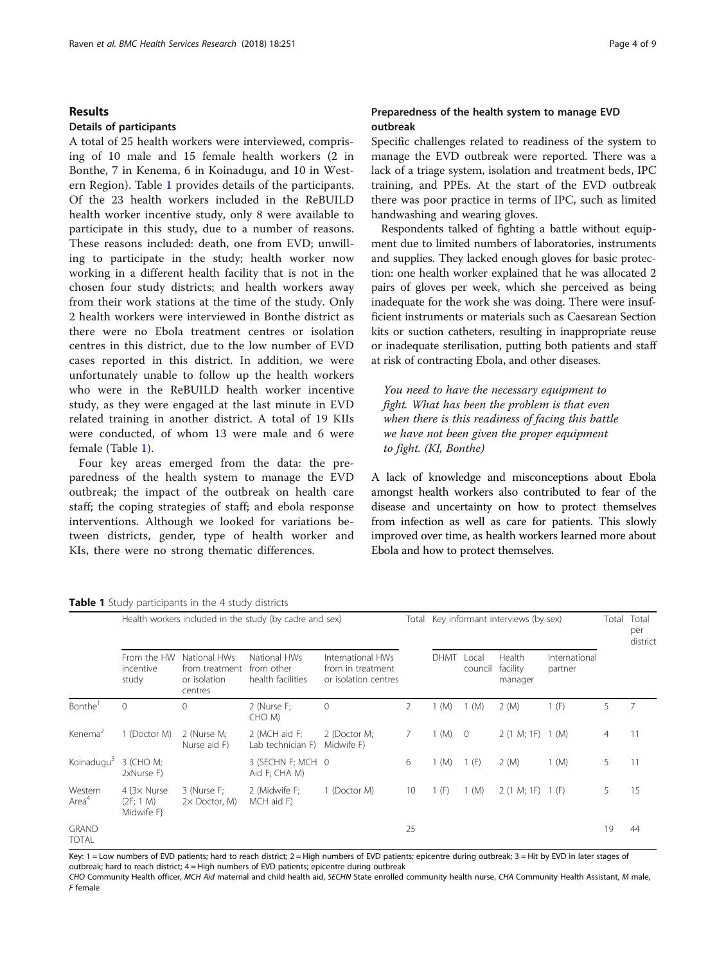# Results

# Details of participants

A total of 25 health workers were interviewed, comprising of 10 male and 15 female health workers (2 in Bonthe, 7 in Kenema, 6 in Koinadugu, and 10 in Western Region). Table 1 provides details of the participants. Of the 23 health workers included in the ReBUILD health worker incentive study, only 8 were available to participate in this study, due to a number of reasons. These reasons included: death, one from EVD; unwilling to participate in the study; health worker now working in a different health facility that is not in the chosen four study districts; and health workers away from their work stations at the time of the study. Only 2 health workers were interviewed in Bonthe district as there were no Ebola treatment centres or isolation centres in this district, due to the low number of EVD cases reported in this district. In addition, we were unfortunately unable to follow up the health workers who were in the ReBUILD health worker incentive study, as they were engaged at the last minute in EVD related training in another district. A total of 19 KIIs were conducted, of whom 13 were male and 6 were female (Table 1).

Four key areas emerged from the data: the preparedness of the health system to manage the EVD outbreak; the impact of the outbreak on health care staff; the coping strategies of staff; and ebola response interventions. Although we looked for variations between districts, gender, type of health worker and KIs, there were no strong thematic differences.

#### Table 1 Study participants in the 4 study districts

TOTAL

|                              | Health workers included in the study (by cadre and sex) |                                                           |                                                 |                                                                |                 | Total Key informant interviews (by sex) |                  |                               |                          | Total | Tota<br>per<br>distri |
|------------------------------|---------------------------------------------------------|-----------------------------------------------------------|-------------------------------------------------|----------------------------------------------------------------|-----------------|-----------------------------------------|------------------|-------------------------------|--------------------------|-------|-----------------------|
|                              | From the HW<br>incentive<br>study                       | National HWs<br>from treatment<br>or isolation<br>centres | National HWs<br>from other<br>health facilities | International HWs<br>from in treatment<br>or isolation centres |                 | <b>DHMT</b>                             | Local<br>council | Health<br>facility<br>manager | International<br>partner |       |                       |
| Bonthe <sup>1</sup>          | $\Omega$                                                | $\Omega$                                                  | 2 (Nurse F:<br>CHO M)                           | $\mathbf{0}$                                                   | $\overline{2}$  | $1 \, (M)$                              | $1 \, (M)$       | 2(M)                          | 1(F)                     | 5     | -7                    |
| Kenema <sup>2</sup>          | 1 (Doctor M)                                            | 2 (Nurse M;<br>Nurse aid F)                               | 2 (MCH aid F;<br>Lab technician F)              | 2 (Doctor M;<br>Midwife F)                                     | 7               | $1 \, (M)$                              | $\overline{0}$   | 2(1 M; 1F)                    | 1 (M)                    | 4     | 11                    |
| Koinadugu <sup>3</sup>       | 3 (CHO M;<br>2xNurse F)                                 |                                                           | 3 (SECHN F; MCH 0<br>Aid F; CHA M)              |                                                                | 6               | $1 \, (M)$                              | 1(F)             | 2(M)                          | $1 \, (M)$               | 5     |                       |
| Western<br>Area <sup>4</sup> | 4 {3× Nurse<br>(2F; 1 M)<br>Midwife F}                  | 3 (Nurse F;<br>2x Doctor, M)                              | 2 (Midwife F;<br>MCH aid F)                     | 1 (Doctor M)                                                   | 10 <sup>°</sup> | 1(F)                                    | $1 \, (M)$       | 2(1 M; 1F)                    | 1 (F)                    | 5     | 15                    |
| <b>GRAND</b>                 |                                                         |                                                           |                                                 |                                                                | 25              |                                         |                  |                               |                          | 19    | 44                    |

Key: 1 = Low numbers of EVD patients; hard to reach district; 2 = High numbers of EVD patients; epicentre during outbreak; 3 = Hit by EVD in later stages of outbreak; hard to reach district; 4 = High numbers of EVD patients; epicentre during outbreak

CHO Community Health officer, MCH Aid maternal and child health aid, SECHN State enrolled community health hurse, CHA Community Health Assistant, M male, F female

per district

# Preparedness of the health system to manage EVD outbreak

Specific challenges related to readiness of the system to manage the EVD outbreak were reported. There was a lack of a triage system, isolation and treatment beds, IPC training, and PPEs. At the start of the EVD outbreak there was poor practice in terms of IPC, such as limited handwashing and wearing gloves.

Respondents talked of fighting a battle without equipment due to limited numbers of laboratories, instruments and supplies. They lacked enough gloves for basic protection: one health worker explained that he was allocated 2 pairs of gloves per week, which she perceived as being inadequate for the work she was doing. There were insufficient instruments or materials such as Caesarean Section kits or suction catheters, resulting in inappropriate reuse or inadequate sterilisation, putting both patients and staff at risk of contracting Ebola, and other diseases.

You need to have the necessary equipment to fight. What has been the problem is that even when there is this readiness of facing this battle we have not been given the proper equipment to fight. (KI, Bonthe)

A lack of knowledge and misconceptions about Ebola amongst health workers also contributed to fear of the disease and uncertainty on how to protect themselves from infection as well as care for patients. This slowly improved over time, as health workers learned more about Ebola and how to protect themselves.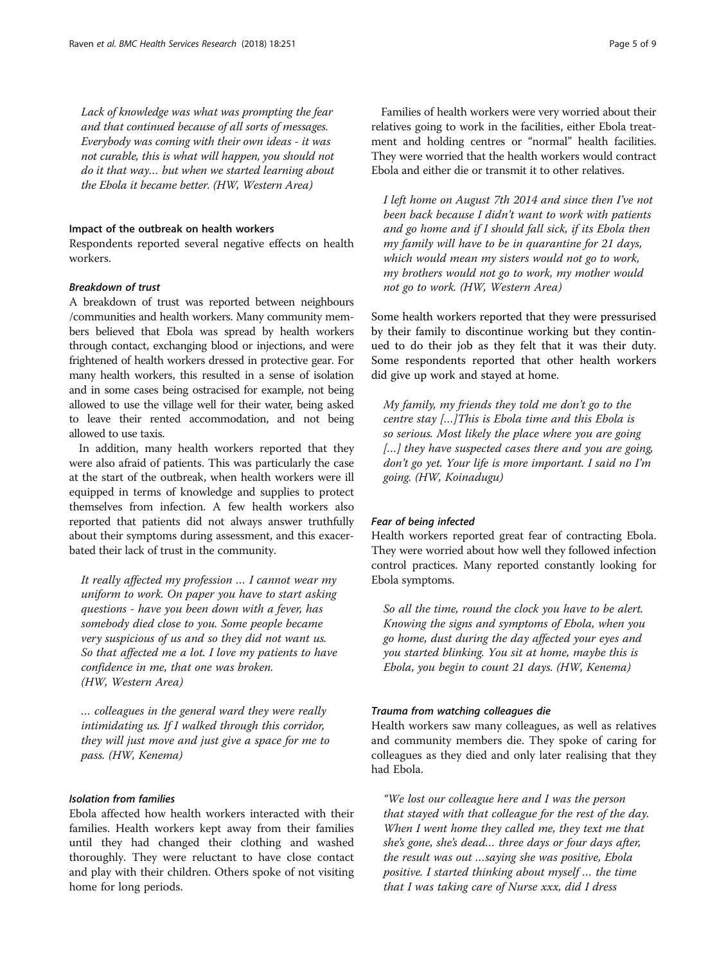Lack of knowledge was what was prompting the fear and that continued because of all sorts of messages. Everybody was coming with their own ideas - it was not curable, this is what will happen, you should not do it that way… but when we started learning about the Ebola it became better. (HW, Western Area)

# Impact of the outbreak on health workers

Respondents reported several negative effects on health workers.

# Breakdown of trust

A breakdown of trust was reported between neighbours /communities and health workers. Many community members believed that Ebola was spread by health workers through contact, exchanging blood or injections, and were frightened of health workers dressed in protective gear. For many health workers, this resulted in a sense of isolation and in some cases being ostracised for example, not being allowed to use the village well for their water, being asked to leave their rented accommodation, and not being allowed to use taxis.

In addition, many health workers reported that they were also afraid of patients. This was particularly the case at the start of the outbreak, when health workers were ill equipped in terms of knowledge and supplies to protect themselves from infection. A few health workers also reported that patients did not always answer truthfully about their symptoms during assessment, and this exacerbated their lack of trust in the community.

It really affected my profession … I cannot wear my uniform to work. On paper you have to start asking questions - have you been down with a fever, has somebody died close to you. Some people became very suspicious of us and so they did not want us. So that affected me a lot. I love my patients to have confidence in me, that one was broken. (HW, Western Area)

… colleagues in the general ward they were really intimidating us. If I walked through this corridor, they will just move and just give a space for me to pass. (HW, Kenema)

# Isolation from families

Ebola affected how health workers interacted with their families. Health workers kept away from their families until they had changed their clothing and washed thoroughly. They were reluctant to have close contact and play with their children. Others spoke of not visiting home for long periods.

Families of health workers were very worried about their relatives going to work in the facilities, either Ebola treatment and holding centres or "normal" health facilities. They were worried that the health workers would contract Ebola and either die or transmit it to other relatives.

I left home on August 7th 2014 and since then I've not been back because I didn't want to work with patients and go home and if I should fall sick, if its Ebola then my family will have to be in quarantine for 21 days, which would mean my sisters would not go to work, my brothers would not go to work, my mother would not go to work. (HW, Western Area)

Some health workers reported that they were pressurised by their family to discontinue working but they continued to do their job as they felt that it was their duty. Some respondents reported that other health workers did give up work and stayed at home.

My family, my friends they told me don't go to the centre stay […]This is Ebola time and this Ebola is so serious. Most likely the place where you are going [...] they have suspected cases there and you are going, don't go yet. Your life is more important. I said no I'm going. (HW, Koinadugu)

# Fear of being infected

Health workers reported great fear of contracting Ebola. They were worried about how well they followed infection control practices. Many reported constantly looking for Ebola symptoms.

So all the time, round the clock you have to be alert. Knowing the signs and symptoms of Ebola, when you go home, dust during the day affected your eyes and you started blinking. You sit at home, maybe this is Ebola, you begin to count 21 days. (HW, Kenema)

## Trauma from watching colleagues die

Health workers saw many colleagues, as well as relatives and community members die. They spoke of caring for colleagues as they died and only later realising that they had Ebola.

"We lost our colleague here and I was the person that stayed with that colleague for the rest of the day. When I went home they called me, they text me that she's gone, she's dead… three days or four days after, the result was out …saying she was positive, Ebola positive. I started thinking about myself … the time that I was taking care of Nurse xxx, did I dress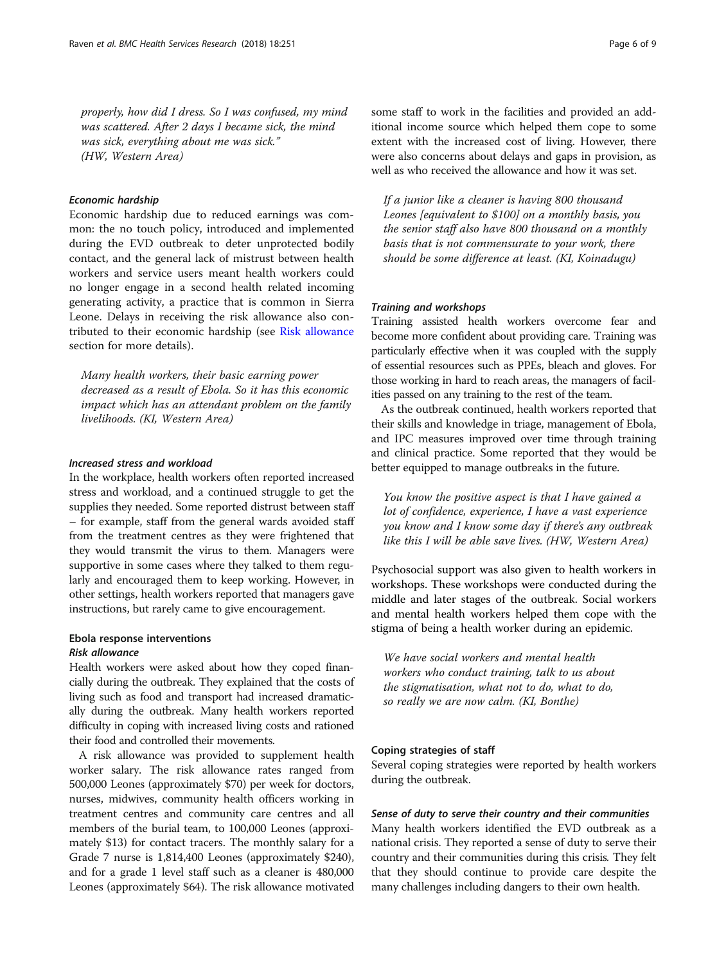properly, how did I dress. So I was confused, my mind was scattered. After 2 days I became sick, the mind was sick, everything about me was sick." (HW, Western Area)

# Economic hardship

Economic hardship due to reduced earnings was common: the no touch policy, introduced and implemented during the EVD outbreak to deter unprotected bodily contact, and the general lack of mistrust between health workers and service users meant health workers could no longer engage in a second health related incoming generating activity, a practice that is common in Sierra Leone. Delays in receiving the risk allowance also contributed to their economic hardship (see Risk allowance section for more details).

Many health workers, their basic earning power decreased as a result of Ebola. So it has this economic impact which has an attendant problem on the family livelihoods. (KI, Western Area)

#### Increased stress and workload

In the workplace, health workers often reported increased stress and workload, and a continued struggle to get the supplies they needed. Some reported distrust between staff – for example, staff from the general wards avoided staff from the treatment centres as they were frightened that they would transmit the virus to them. Managers were supportive in some cases where they talked to them regularly and encouraged them to keep working. However, in other settings, health workers reported that managers gave instructions, but rarely came to give encouragement.

# Ebola response interventions Risk allowance

Health workers were asked about how they coped financially during the outbreak. They explained that the costs of living such as food and transport had increased dramatically during the outbreak. Many health workers reported difficulty in coping with increased living costs and rationed their food and controlled their movements.

A risk allowance was provided to supplement health worker salary. The risk allowance rates ranged from 500,000 Leones (approximately \$70) per week for doctors, nurses, midwives, community health officers working in treatment centres and community care centres and all members of the burial team, to 100,000 Leones (approximately \$13) for contact tracers. The monthly salary for a Grade 7 nurse is 1,814,400 Leones (approximately \$240), and for a grade 1 level staff such as a cleaner is 480,000 Leones (approximately \$64). The risk allowance motivated some staff to work in the facilities and provided an additional income source which helped them cope to some extent with the increased cost of living. However, there were also concerns about delays and gaps in provision, as well as who received the allowance and how it was set.

If a junior like a cleaner is having 800 thousand Leones [equivalent to \$100] on a monthly basis, you the senior staff also have 800 thousand on a monthly basis that is not commensurate to your work, there should be some difference at least. (KI, Koinadugu)

#### Training and workshops

Training assisted health workers overcome fear and become more confident about providing care. Training was particularly effective when it was coupled with the supply of essential resources such as PPEs, bleach and gloves. For those working in hard to reach areas, the managers of facilities passed on any training to the rest of the team.

As the outbreak continued, health workers reported that their skills and knowledge in triage, management of Ebola, and IPC measures improved over time through training and clinical practice. Some reported that they would be better equipped to manage outbreaks in the future.

You know the positive aspect is that I have gained a lot of confidence, experience, I have a vast experience you know and I know some day if there's any outbreak like this I will be able save lives. (HW, Western Area)

Psychosocial support was also given to health workers in workshops. These workshops were conducted during the middle and later stages of the outbreak. Social workers and mental health workers helped them cope with the stigma of being a health worker during an epidemic.

We have social workers and mental health workers who conduct training, talk to us about the stigmatisation, what not to do, what to do, so really we are now calm. (KI, Bonthe)

#### Coping strategies of staff

Several coping strategies were reported by health workers during the outbreak.

# Sense of duty to serve their country and their communities

Many health workers identified the EVD outbreak as a national crisis. They reported a sense of duty to serve their country and their communities during this crisis. They felt that they should continue to provide care despite the many challenges including dangers to their own health.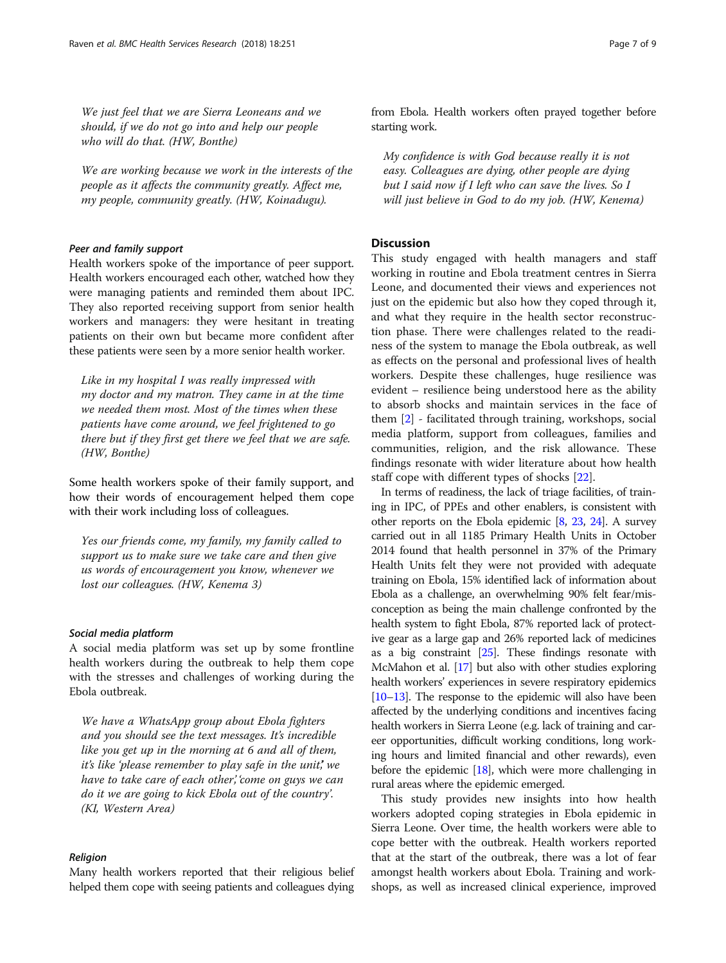We just feel that we are Sierra Leoneans and we should, if we do not go into and help our people who will do that. (HW, Bonthe)

We are working because we work in the interests of the people as it affects the community greatly. Affect me, my people, community greatly. (HW, Koinadugu).

# Peer and family support

Health workers spoke of the importance of peer support. Health workers encouraged each other, watched how they were managing patients and reminded them about IPC. They also reported receiving support from senior health workers and managers: they were hesitant in treating patients on their own but became more confident after these patients were seen by a more senior health worker.

Like in my hospital I was really impressed with my doctor and my matron. They came in at the time we needed them most. Most of the times when these patients have come around, we feel frightened to go there but if they first get there we feel that we are safe. (HW, Bonthe)

Some health workers spoke of their family support, and how their words of encouragement helped them cope with their work including loss of colleagues.

Yes our friends come, my family, my family called to support us to make sure we take care and then give us words of encouragement you know, whenever we lost our colleagues. (HW, Kenema 3)

#### Social media platform

A social media platform was set up by some frontline health workers during the outbreak to help them cope with the stresses and challenges of working during the Ebola outbreak.

We have a WhatsApp group about Ebola fighters and you should see the text messages. It's incredible like you get up in the morning at 6 and all of them, it's like 'please remember to play safe in the unit', we have to take care of each other', 'come on guys we can do it we are going to kick Ebola out of the country'. (KI, Western Area)

#### Religion

Many health workers reported that their religious belief helped them cope with seeing patients and colleagues dying from Ebola. Health workers often prayed together before starting work.

My confidence is with God because really it is not easy. Colleagues are dying, other people are dying but I said now if I left who can save the lives. So I will just believe in God to do my job. (HW, Kenema)

# **Discussion**

This study engaged with health managers and staff working in routine and Ebola treatment centres in Sierra Leone, and documented their views and experiences not just on the epidemic but also how they coped through it, and what they require in the health sector reconstruction phase. There were challenges related to the readiness of the system to manage the Ebola outbreak, as well as effects on the personal and professional lives of health workers. Despite these challenges, huge resilience was evident – resilience being understood here as the ability to absorb shocks and maintain services in the face of them [\[2](#page-8-0)] - facilitated through training, workshops, social media platform, support from colleagues, families and communities, religion, and the risk allowance. These findings resonate with wider literature about how health staff cope with different types of shocks [\[22](#page-8-0)].

In terms of readiness, the lack of triage facilities, of training in IPC, of PPEs and other enablers, is consistent with other reports on the Ebola epidemic [[8](#page-8-0), [23,](#page-8-0) [24\]](#page-8-0). A survey carried out in all 1185 Primary Health Units in October 2014 found that health personnel in 37% of the Primary Health Units felt they were not provided with adequate training on Ebola, 15% identified lack of information about Ebola as a challenge, an overwhelming 90% felt fear/misconception as being the main challenge confronted by the health system to fight Ebola, 87% reported lack of protective gear as a large gap and 26% reported lack of medicines as a big constraint [\[25\]](#page-8-0). These findings resonate with McMahon et al. [\[17\]](#page-8-0) but also with other studies exploring health workers' experiences in severe respiratory epidemics [[10](#page-8-0)–[13](#page-8-0)]. The response to the epidemic will also have been affected by the underlying conditions and incentives facing health workers in Sierra Leone (e.g. lack of training and career opportunities, difficult working conditions, long working hours and limited financial and other rewards), even before the epidemic [\[18](#page-8-0)], which were more challenging in rural areas where the epidemic emerged.

This study provides new insights into how health workers adopted coping strategies in Ebola epidemic in Sierra Leone. Over time, the health workers were able to cope better with the outbreak. Health workers reported that at the start of the outbreak, there was a lot of fear amongst health workers about Ebola. Training and workshops, as well as increased clinical experience, improved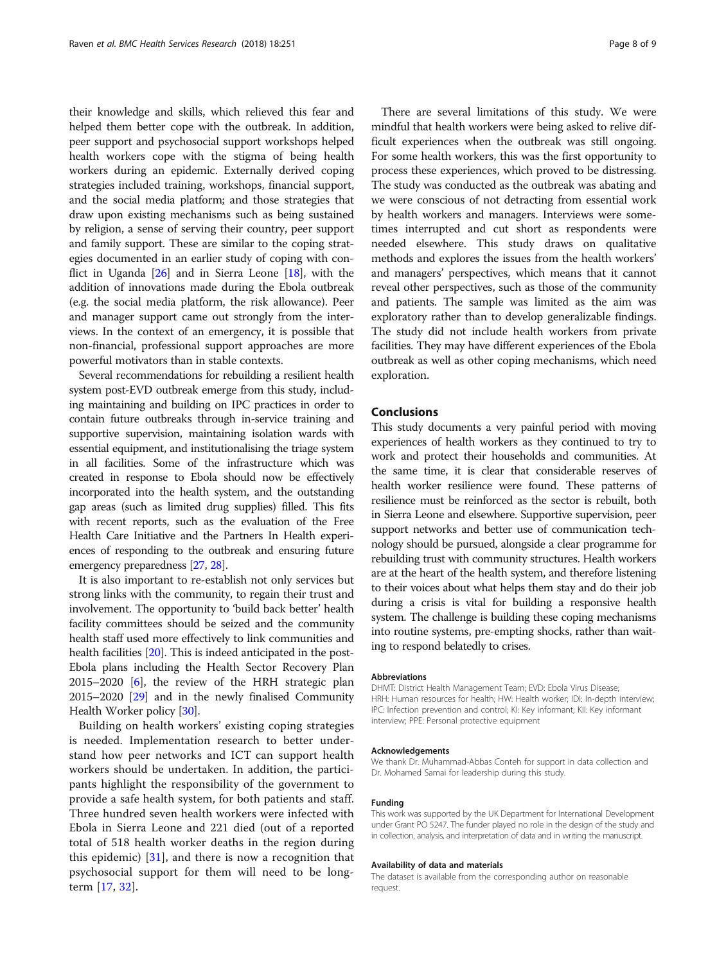their knowledge and skills, which relieved this fear and helped them better cope with the outbreak. In addition, peer support and psychosocial support workshops helped health workers cope with the stigma of being health workers during an epidemic. Externally derived coping strategies included training, workshops, financial support, and the social media platform; and those strategies that draw upon existing mechanisms such as being sustained by religion, a sense of serving their country, peer support and family support. These are similar to the coping strategies documented in an earlier study of coping with conflict in Uganda [\[26\]](#page-8-0) and in Sierra Leone [\[18\]](#page-8-0), with the addition of innovations made during the Ebola outbreak (e.g. the social media platform, the risk allowance). Peer and manager support came out strongly from the interviews. In the context of an emergency, it is possible that non-financial, professional support approaches are more powerful motivators than in stable contexts.

Several recommendations for rebuilding a resilient health system post-EVD outbreak emerge from this study, including maintaining and building on IPC practices in order to contain future outbreaks through in-service training and supportive supervision, maintaining isolation wards with essential equipment, and institutionalising the triage system in all facilities. Some of the infrastructure which was created in response to Ebola should now be effectively incorporated into the health system, and the outstanding gap areas (such as limited drug supplies) filled. This fits with recent reports, such as the evaluation of the Free Health Care Initiative and the Partners In Health experiences of responding to the outbreak and ensuring future emergency preparedness [[27,](#page-8-0) [28\]](#page-8-0).

It is also important to re-establish not only services but strong links with the community, to regain their trust and involvement. The opportunity to 'build back better' health facility committees should be seized and the community health staff used more effectively to link communities and health facilities [\[20\]](#page-8-0). This is indeed anticipated in the post-Ebola plans including the Health Sector Recovery Plan 2015–2020 [[6\]](#page-8-0), the review of the HRH strategic plan 2015–2020 [\[29\]](#page-8-0) and in the newly finalised Community Health Worker policy [\[30](#page-8-0)].

Building on health workers' existing coping strategies is needed. Implementation research to better understand how peer networks and ICT can support health workers should be undertaken. In addition, the participants highlight the responsibility of the government to provide a safe health system, for both patients and staff. Three hundred seven health workers were infected with Ebola in Sierra Leone and 221 died (out of a reported total of 518 health worker deaths in the region during this epidemic) [[31\]](#page-8-0), and there is now a recognition that psychosocial support for them will need to be longterm [[17,](#page-8-0) [32\]](#page-8-0).

There are several limitations of this study. We were mindful that health workers were being asked to relive difficult experiences when the outbreak was still ongoing. For some health workers, this was the first opportunity to process these experiences, which proved to be distressing. The study was conducted as the outbreak was abating and we were conscious of not detracting from essential work by health workers and managers. Interviews were sometimes interrupted and cut short as respondents were needed elsewhere. This study draws on qualitative methods and explores the issues from the health workers' and managers' perspectives, which means that it cannot reveal other perspectives, such as those of the community and patients. The sample was limited as the aim was exploratory rather than to develop generalizable findings. The study did not include health workers from private facilities. They may have different experiences of the Ebola outbreak as well as other coping mechanisms, which need exploration.

# Conclusions

This study documents a very painful period with moving experiences of health workers as they continued to try to work and protect their households and communities. At the same time, it is clear that considerable reserves of health worker resilience were found. These patterns of resilience must be reinforced as the sector is rebuilt, both in Sierra Leone and elsewhere. Supportive supervision, peer support networks and better use of communication technology should be pursued, alongside a clear programme for rebuilding trust with community structures. Health workers are at the heart of the health system, and therefore listening to their voices about what helps them stay and do their job during a crisis is vital for building a responsive health system. The challenge is building these coping mechanisms into routine systems, pre-empting shocks, rather than waiting to respond belatedly to crises.

#### Abbreviations

DHMT: District Health Management Team; EVD: Ebola Virus Disease; HRH: Human resources for health; HW: Health worker; IDI: In-depth interview; IPC: Infection prevention and control; KI: Key informant; KII: Key informant interview; PPE: Personal protective equipment

#### Acknowledgements

We thank Dr. Muhammad-Abbas Conteh for support in data collection and Dr. Mohamed Samai for leadership during this study.

#### Funding

This work was supported by the UK Department for International Development under Grant PO 5247. The funder played no role in the design of the study and in collection, analysis, and interpretation of data and in writing the manuscript.

#### Availability of data and materials

The dataset is available from the corresponding author on reasonable request.